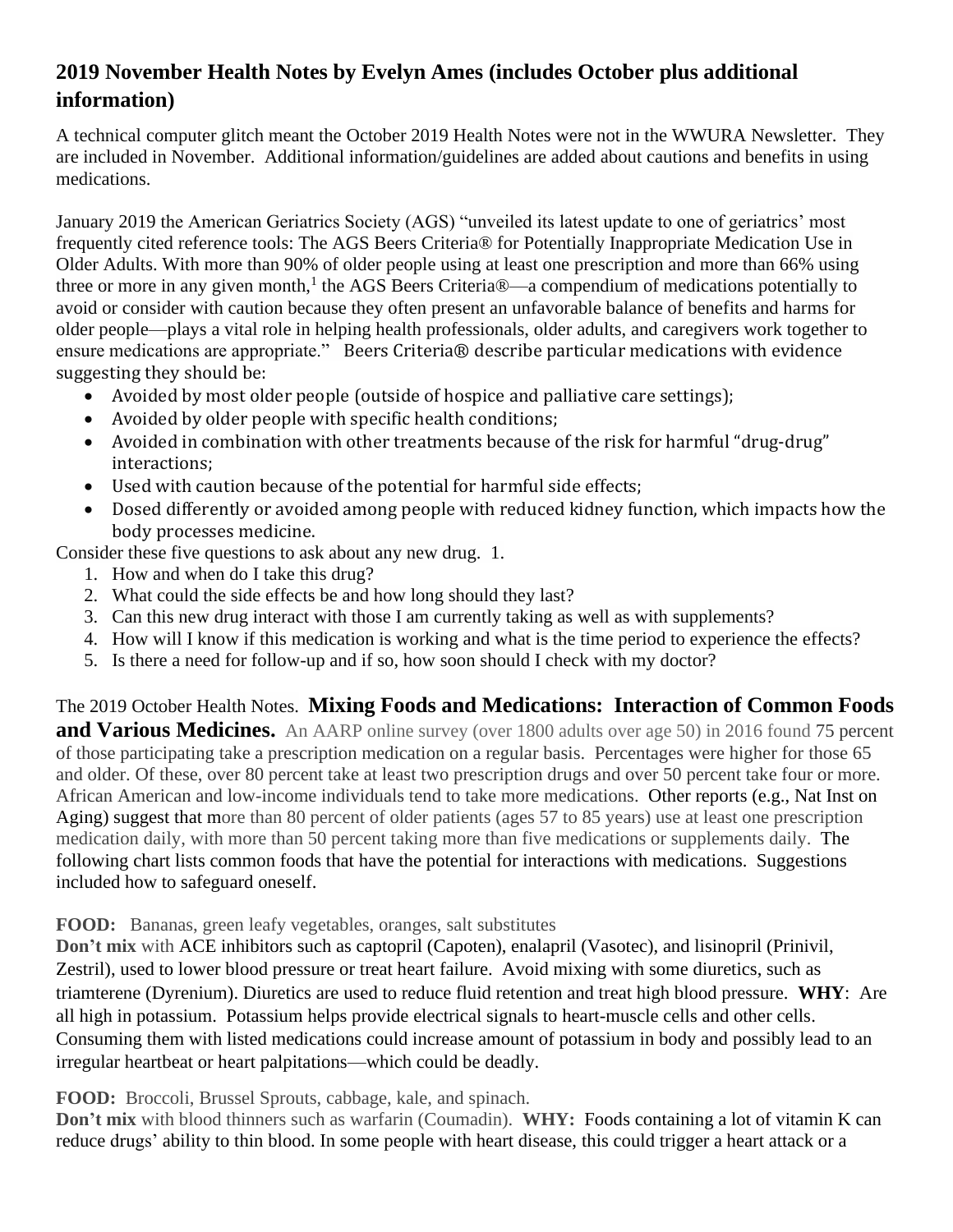## **2019 November Health Notes by Evelyn Ames (includes October plus additional information)**

A technical computer glitch meant the October 2019 Health Notes were not in the WWURA Newsletter. They are included in November. Additional information/guidelines are added about cautions and benefits in using medications.

January 2019 the American Geriatrics Society (AGS) "unveiled its latest update to one of geriatrics' most frequently cited reference tools: The AGS Beers Criteria® for Potentially Inappropriate Medication Use in Older Adults. With more than 90% of older people using at least one prescription and more than 66% using three or more in any given month,<sup>1</sup> the AGS Beers Criteria®—a compendium of medications potentially to avoid or consider with caution because they often present an unfavorable balance of benefits and harms for older people—plays a vital role in helping health professionals, older adults, and caregivers work together to ensure medications are appropriate." Beers Criteria® describe particular medications with evidence suggesting they should be:

- Avoided by most older people (outside of hospice and palliative care settings);
- Avoided by older people with specific health conditions;
- Avoided in combination with other treatments because of the risk for harmful "drug-drug" interactions;
- Used with caution because of the potential for harmful side effects;
- Dosed differently or avoided among people with reduced kidney function, which impacts how the body processes medicine.

Consider these five questions to ask about any new drug. 1.

- 1. How and when do I take this drug?
- 2. What could the side effects be and how long should they last?
- 3. Can this new drug interact with those I am currently taking as well as with supplements?
- 4. How will I know if this medication is working and what is the time period to experience the effects?
- 5. Is there a need for follow-up and if so, how soon should I check with my doctor?

## The 2019 October Health Notes. **Mixing Foods and Medications: Interaction of Common Foods**

**and Various Medicines.** An AARP online survey (over 1800 adults over age 50) in 2016 found 75 percent of those participating take a prescription medication on a regular basis. Percentages were higher for those 65 and older. Of these, over 80 percent take at least two prescription drugs and over 50 percent take four or more. African American and low-income individuals tend to take more medications. Other reports (e.g., Nat Inst on Aging) suggest that more than 80 percent of older patients (ages 57 to 85 years) use at least one prescription medication daily, with more than 50 percent taking more than five medications or supplements daily. The following chart lists common foods that have the potential for interactions with medications. Suggestions included how to safeguard oneself.

**FOOD:** Bananas, green leafy vegetables, oranges, salt substitutes

**Don't mix** with ACE inhibitors such as captopril (Capoten), enalapril (Vasotec), and lisinopril (Prinivil, Zestril), used to lower blood pressure or treat heart failure. Avoid mixing with some diuretics, such as triamterene (Dyrenium). Diuretics are used to reduce fluid retention and treat high blood pressure. **WHY**: Are all high in potassium. Potassium helps provide electrical signals to heart-muscle cells and other cells. Consuming them with listed medications could increase amount of potassium in body and possibly lead to an irregular heartbeat or heart palpitations—which could be deadly.

**FOOD:** Broccoli, Brussel Sprouts, cabbage, kale, and spinach.

**Don't mix** with blood thinners such as warfarin (Coumadin). **WHY:** Foods containing a lot of vitamin K can reduce drugs' ability to thin blood. In some people with heart disease, this could trigger a heart attack or a